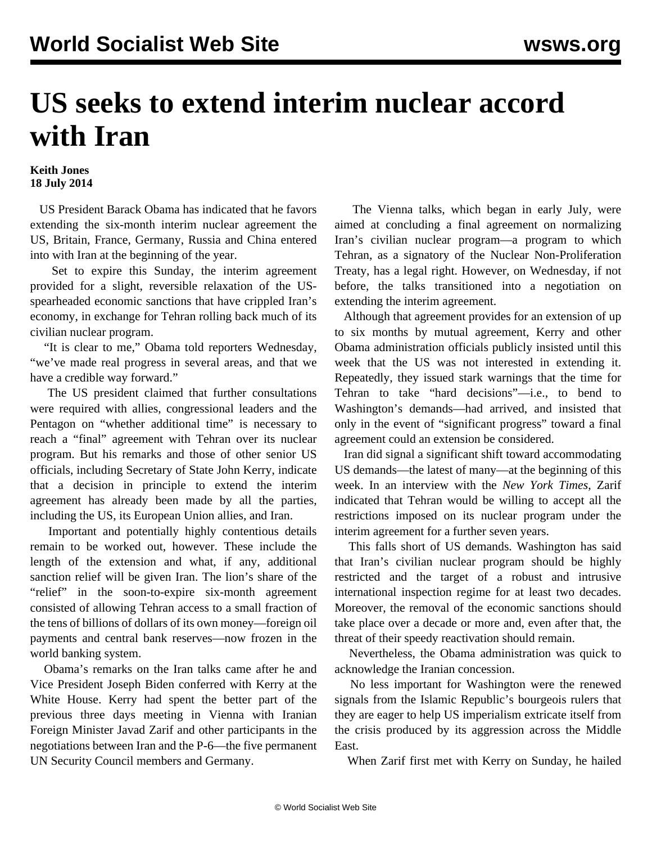## **US seeks to extend interim nuclear accord with Iran**

## **Keith Jones 18 July 2014**

 US President Barack Obama has indicated that he favors extending the six-month interim nuclear agreement the US, Britain, France, Germany, Russia and China entered into with Iran at the beginning of the year.

 Set to expire this Sunday, the interim agreement provided for a slight, reversible relaxation of the USspearheaded economic sanctions that have crippled Iran's economy, in exchange for Tehran rolling back much of its civilian nuclear program.

 "It is clear to me," Obama told reporters Wednesday, "we've made real progress in several areas, and that we have a credible way forward."

 The US president claimed that further consultations were required with allies, congressional leaders and the Pentagon on "whether additional time" is necessary to reach a "final" agreement with Tehran over its nuclear program. But his remarks and those of other senior US officials, including Secretary of State John Kerry, indicate that a decision in principle to extend the interim agreement has already been made by all the parties, including the US, its European Union allies, and Iran.

 Important and potentially highly contentious details remain to be worked out, however. These include the length of the extension and what, if any, additional sanction relief will be given Iran. The lion's share of the "relief" in the soon-to-expire six-month agreement consisted of allowing Tehran access to a small fraction of the tens of billions of dollars of its own money—foreign oil payments and central bank reserves—now frozen in the world banking system.

 Obama's remarks on the Iran talks came after he and Vice President Joseph Biden conferred with Kerry at the White House. Kerry had spent the better part of the previous three days meeting in Vienna with Iranian Foreign Minister Javad Zarif and other participants in the negotiations between Iran and the P-6—the five permanent UN Security Council members and Germany.

 The Vienna talks, which began in early July, were aimed at concluding a final agreement on normalizing Iran's civilian nuclear program—a program to which Tehran, as a signatory of the Nuclear Non-Proliferation Treaty, has a legal right. However, on Wednesday, if not before, the talks transitioned into a negotiation on extending the interim agreement.

 Although that agreement provides for an extension of up to six months by mutual agreement, Kerry and other Obama administration officials publicly insisted until this week that the US was not interested in extending it. Repeatedly, they issued stark warnings that the time for Tehran to take "hard decisions"—i.e., to bend to Washington's demands—had arrived, and insisted that only in the event of "significant progress" toward a final agreement could an extension be considered.

 Iran did signal a significant shift toward accommodating US demands—the latest of many—at the beginning of this week. In an interview with the *New York Times*, Zarif indicated that Tehran would be willing to accept all the restrictions imposed on its nuclear program under the interim agreement for a further seven years.

 This falls short of US demands. Washington has said that Iran's civilian nuclear program should be highly restricted and the target of a robust and intrusive international inspection regime for at least two decades. Moreover, the removal of the economic sanctions should take place over a decade or more and, even after that, the threat of their speedy reactivation should remain.

 Nevertheless, the Obama administration was quick to acknowledge the Iranian concession.

 No less important for Washington were the renewed signals from the Islamic Republic's bourgeois rulers that they are eager to help US imperialism extricate itself from the crisis produced by its aggression across the Middle East.

When Zarif first met with Kerry on Sunday, he hailed